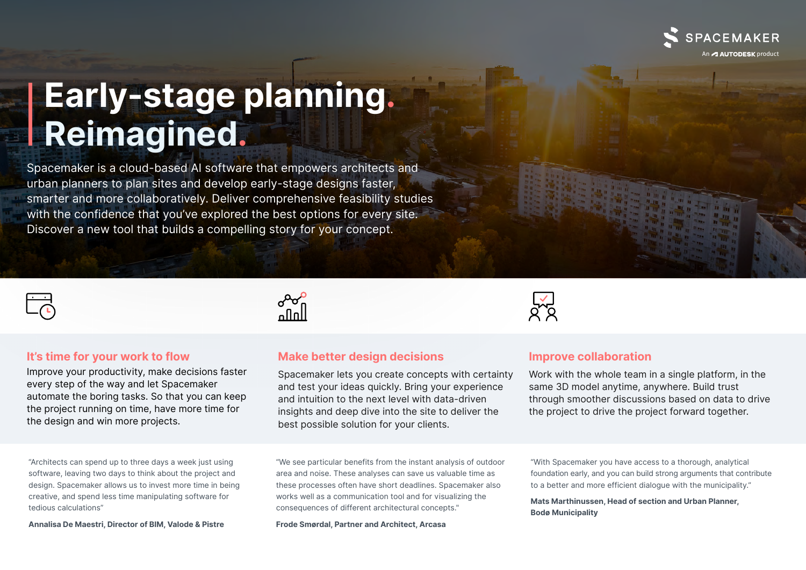

## **Early-stage planning. Reimagined.**

Spacemaker is a cloud-based AI software that empowers architects and urban planners to plan sites and develop early-stage designs faster, smarter and more collaboratively. Deliver comprehensive feasibility studies with the confidence that you've explored the best options for every site. Discover a new tool that builds a compelling story for your concept.



### **It's time for your work to flow**

Improve your productivity, make decisions faster every step of the way and let Spacemaker automate the boring tasks. So that you can keep the project running on time, have more time for the design and win more projects.

"Architects can spend up to three days a week just using software, leaving two days to think about the project and design. Spacemaker allows us to invest more time in being creative, and spend less time manipulating software for tedious calculations"

**Annalisa De Maestri, Director of BIM, Valode & Pistre**



## **Make better design decisions**

Spacemaker lets you create concepts with certainty and test your ideas quickly. Bring your experience and intuition to the next level with data-driven insights and deep dive into the site to deliver the best possible solution for your clients.

"We see particular benefits from the instant analysis of outdoor area and noise. These analyses can save us valuable time as these processes often have short deadlines. Spacemaker also works well as a communication tool and for visualizing the consequences of different architectural concepts."

**Frode Smørdal, Partner and Architect, Arcasa**



### **Improve collaboration**

Work with the whole team in a single platform, in the same 3D model anytime, anywhere. Build trust through smoother discussions based on data to drive the project to drive the project forward together.

"With Spacemaker you have access to a thorough, analytical foundation early, and you can build strong arguments that contribute to a better and more efficient dialogue with the municipality."

**Mats Marthinussen, Head of section and Urban Planner, Bodø Municipality**